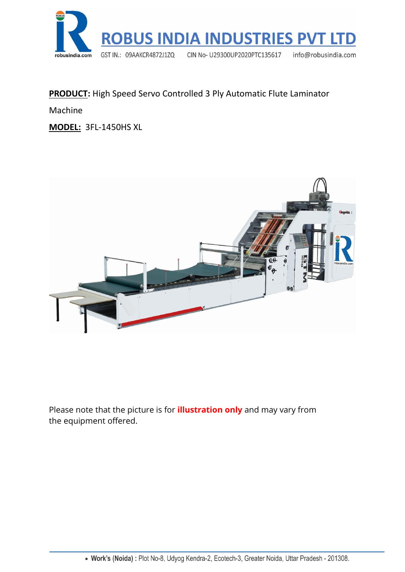

#### **PRODUCT:** High Speed Servo Controlled 3 Ply Automatic Flute Laminator

Machine

**MODEL:** 3FL-1450HS XL



Please note that the picture is for **illustration only** and may vary from the equipment offered.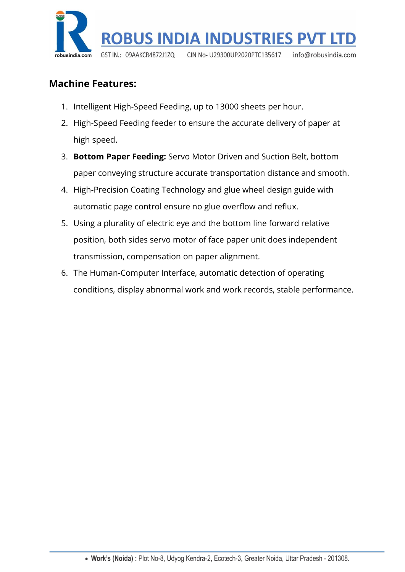

## **Machine Features:**

- 1. Intelligent High-Speed Feeding, up to 13000 sheets per hour.
- 2. High-Speed Feeding feeder to ensure the accurate delivery of paper at high speed.
- 3. **Bottom Paper Feeding:** Servo Motor Driven and Suction Belt, bottom paper conveying structure accurate transportation distance and smooth.
- 4. High-Precision Coating Technology and glue wheel design guide with automatic page control ensure no glue overflow and reflux.
- 5. Using a plurality of electric eye and the bottom line forward relative position, both sides servo motor of face paper unit does independent transmission, compensation on paper alignment.
- 6. The Human-Computer Interface, automatic detection of operating conditions, display abnormal work and work records, stable performance.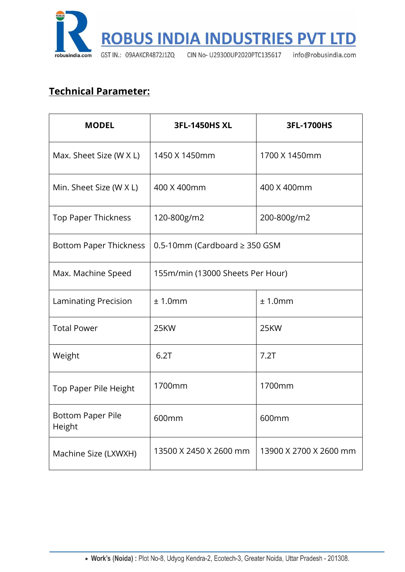

## **Technical Parameter:**

| <b>MODEL</b>                  | <b>3FL-1450HS XL</b>               | 3FL-1700HS             |
|-------------------------------|------------------------------------|------------------------|
| Max. Sheet Size (W X L)       | 1450 X 1450mm                      | 1700 X 1450mm          |
| Min. Sheet Size (W X L)       | 400 X 400mm                        | 400 X 400mm            |
| Top Paper Thickness           | 120-800g/m2                        | 200-800g/m2            |
| <b>Bottom Paper Thickness</b> | 0.5-10mm (Cardboard $\geq$ 350 GSM |                        |
| Max. Machine Speed            | 155m/min (13000 Sheets Per Hour)   |                        |
| <b>Laminating Precision</b>   | ± 1.0mm                            | ± 1.0mm                |
| <b>Total Power</b>            | 25KW                               | 25KW                   |
| Weight                        | 6.2T                               | 7.2T                   |
| Top Paper Pile Height         | 1700mm                             | 1700mm                 |
| Bottom Paper Pile<br>Height   | 600mm                              | 600mm                  |
| Machine Size (LXWXH)          | 13500 X 2450 X 2600 mm             | 13900 X 2700 X 2600 mm |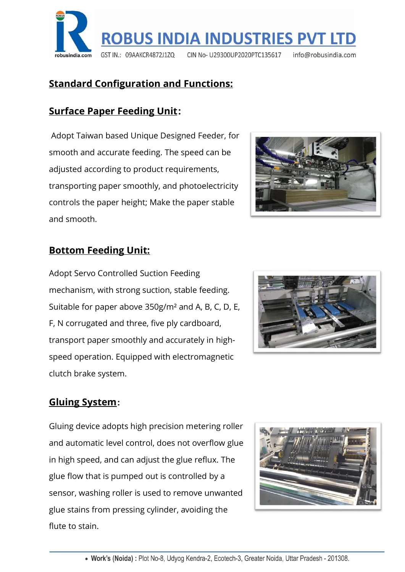

# **Standard Configuration and Functions:**

## **Surface Paper Feeding Unit:**

Adopt Taiwan based Unique Designed Feeder, for smooth and accurate feeding. The speed can be adjusted according to product requirements, transporting paper smoothly, and photoelectricity controls the paper height; Make the paper stable and smooth.



#### **Bottom Feeding Unit:**

Adopt Servo Controlled Suction Feeding mechanism, with strong suction, stable feeding. Suitable for paper above 350g/m² and A, B, C, D, E, F, N corrugated and three, five ply cardboard, transport paper smoothly and accurately in highspeed operation. Equipped with electromagnetic clutch brake system.



### **Gluing System:**

Gluing device adopts high precision metering roller and automatic level control, does not overflow glue in high speed, and can adjust the glue reflux. The glue flow that is pumped out is controlled by a sensor, washing roller is used to remove unwanted glue stains from pressing cylinder, avoiding the flute to stain.

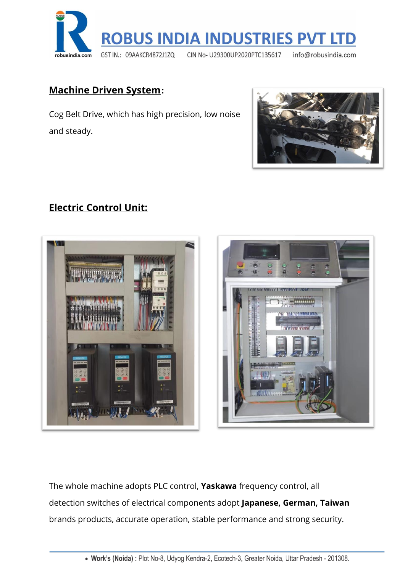

#### **Machine Driven System:**

Cog Belt Drive, which has high precision, low noise and steady.



### **Electric Control Unit:**





The whole machine adopts PLC control, **Yaskawa** frequency control, all detection switches of electrical components adopt **Japanese, German, Taiwan**  brands products, accurate operation, stable performance and strong security.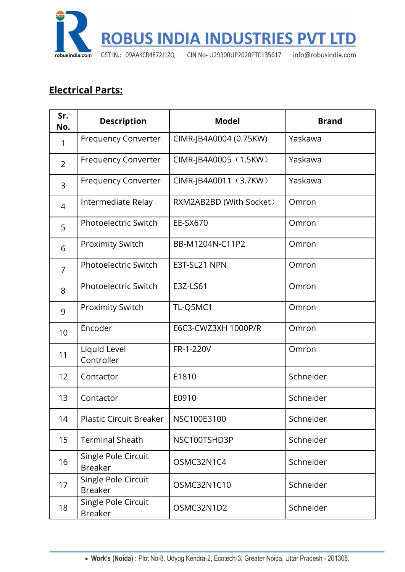

# **Electrical Parts:**

| Sr.<br>No.     | <b>Description</b>                    | <b>Model</b>            | <b>Brand</b> |
|----------------|---------------------------------------|-------------------------|--------------|
| 1              | <b>Frequency Converter</b>            | CIMR-JB4A0004 (0.75KW)  | Yaskawa      |
| $\overline{2}$ | <b>Frequency Converter</b>            | CIMR-JB4A0005 (1.5KW)   | Yaskawa      |
| 3              | <b>Frequency Converter</b>            | CIMR-JB4A0011 (3.7KW)   | Yaskawa      |
| $\overline{4}$ | Intermediate Relay                    | RXM2AB2BD (With Socket) | Omron        |
| 5              | Photoelectric Switch                  | EE-SX670                | Omron        |
| 6              | <b>Proximity Switch</b>               | BB-M1204N-C11P2         | Omron        |
| 7              | <b>Photoelectric Switch</b>           | E3T-SL21 NPN            | Omron        |
| 8              | <b>Photoelectric Switch</b>           | E3Z-LS61                | Omron        |
| 9              | <b>Proximity Switch</b>               | TL-Q5MC1                | Omron        |
| 10             | Encoder                               | E6C3-CWZ3XH 1000P/R     | Omron        |
| 11             | Liquid Level<br>Controller            | FR-1-220V               | Omron        |
| 12             | Contactor                             | E1810                   | Schneider    |
| 13             | Contactor                             | E0910                   | Schneider    |
| 14             | <b>Plastic Circuit Breaker</b>        | NSC100E3100             | Schneider    |
| 15             | <b>Terminal Sheath</b>                | NSC100TSHD3P            | Schneider    |
| 16             | Single Pole Circuit<br><b>Breaker</b> | OSMC32N1C4              | Schneider    |
| 17             | Single Pole Circuit<br><b>Breaker</b> | OSMC32N1C10             | Schneider    |
| 18             | Single Pole Circuit<br><b>Breaker</b> | OSMC32N1D2              | Schneider    |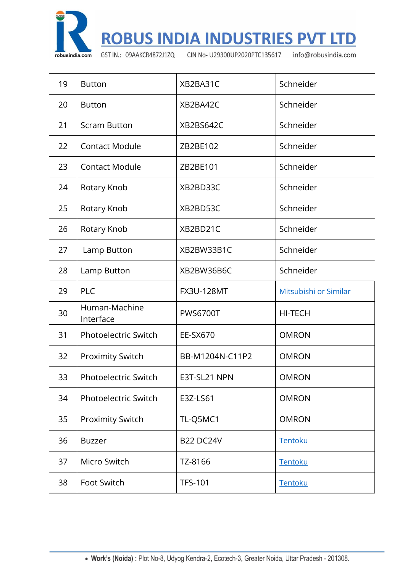

**ROBUS INDIA INDUSTRIES PVT LTD** 

GST IN.: 09AAKCR4872J1ZQ

CIN No- U29300UP2020PTC135617

info@robusindia.com

| 19 | <b>Button</b>               | XB2BA31C          | Schneider             |
|----|-----------------------------|-------------------|-----------------------|
| 20 | <b>Button</b>               | XB2BA42C          | Schneider             |
| 21 | <b>Scram Button</b>         | XB2BS642C         | Schneider             |
| 22 | <b>Contact Module</b>       | ZB2BE102          | Schneider             |
| 23 | <b>Contact Module</b>       | ZB2BE101          | Schneider             |
| 24 | Rotary Knob                 | XB2BD33C          | Schneider             |
| 25 | Rotary Knob                 | XB2BD53C          | Schneider             |
| 26 | Rotary Knob                 | XB2BD21C          | Schneider             |
| 27 | Lamp Button                 | XB2BW33B1C        | Schneider             |
| 28 | Lamp Button                 | XB2BW36B6C        | Schneider             |
| 29 | PLC                         | <b>FX3U-128MT</b> | Mitsubishi or Similar |
| 30 | Human-Machine<br>Interface  | <b>PWS6700T</b>   | <b>HI-TECH</b>        |
| 31 | Photoelectric Switch        | EE-SX670          | <b>OMRON</b>          |
| 32 | <b>Proximity Switch</b>     | BB-M1204N-C11P2   | <b>OMRON</b>          |
| 33 | <b>Photoelectric Switch</b> | E3T-SL21 NPN      | <b>OMRON</b>          |
| 34 | Photoelectric Switch        | E3Z-LS61          | <b>OMRON</b>          |
| 35 | <b>Proximity Switch</b>     | TL-Q5MC1          | <b>OMRON</b>          |
| 36 | <b>Buzzer</b>               | <b>B22 DC24V</b>  | Tentoku               |
| 37 | Micro Switch                | TZ-8166           | Tentoku               |
| 38 | Foot Switch                 | <b>TFS-101</b>    | Tentoku               |